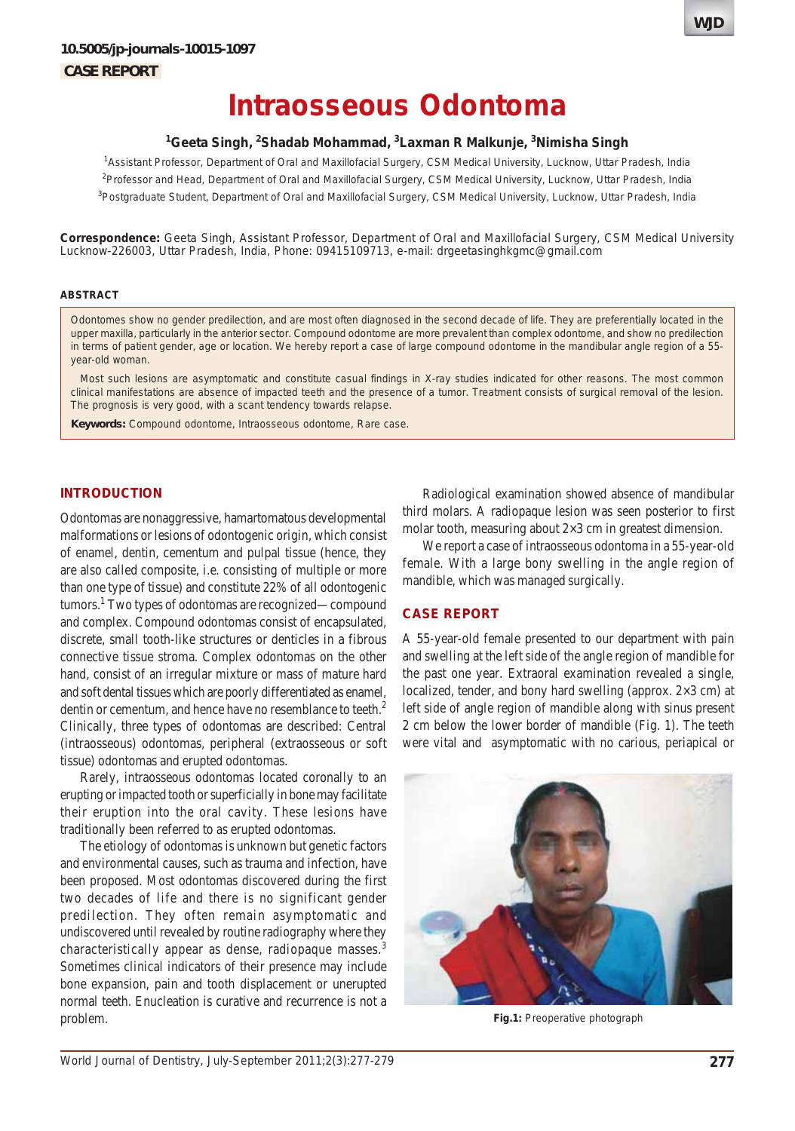# **Intraosseous Odontoma**

## **1 Geeta Singh, 2 Shadab Mohammad, 3 Laxman R Malkunje, 3 Nimisha Singh**

1 Assistant Professor, Department of Oral and Maxillofacial Surgery, CSM Medical University, Lucknow, Uttar Pradesh, India <sup>2</sup>Professor and Head, Department of Oral and Maxillofacial Surgery, CSM Medical University, Lucknow, Uttar Pradesh, India <sup>3</sup>Postgraduate Student, Department of Oral and Maxillofacial Surgery, CSM Medical University, Lucknow, Uttar Pradesh, India

**Correspondence:** Geeta Singh, Assistant Professor, Department of Oral and Maxillofacial Surgery, CSM Medical University Lucknow-226003, Uttar Pradesh, India, Phone: 09415109713, e-mail: drgeetasinghkgmc@gmail.com

## **ABSTRACT**

Odontomes show no gender predilection, and are most often diagnosed in the second decade of life. They are preferentially located in the upper maxilla, particularly in the anterior sector. Compound odontome are more prevalent than complex odontome, and show no predilection in terms of patient gender, age or location. We hereby report a case of large compound odontome in the mandibular angle region of a 55 year-old woman.

Most such lesions are asymptomatic and constitute casual findings in X-ray studies indicated for other reasons. The most common clinical manifestations are absence of impacted teeth and the presence of a tumor. Treatment consists of surgical removal of the lesion. The prognosis is very good, with a scant tendency towards relapse.

**Keywords:** Compound odontome, Intraosseous odontome, Rare case.

#### **INTRODUCTION**

Odontomas are nonaggressive, hamartomatous developmental malformations or lesions of odontogenic origin, which consist of enamel, dentin, cementum and pulpal tissue (hence, they are also called composite, i.e. consisting of multiple or more than one type of tissue) and constitute 22% of all odontogenic tumors.<sup>1</sup> Two types of odontomas are recognized—compound and complex. Compound odontomas consist of encapsulated, discrete, small tooth-like structures or denticles in a fibrous connective tissue stroma. Complex odontomas on the other hand, consist of an irregular mixture or mass of mature hard and soft dental tissues which are poorly differentiated as enamel, dentin or cementum, and hence have no resemblance to teeth.<sup>2</sup> Clinically, three types of odontomas are described: Central (intraosseous) odontomas, peripheral (extraosseous or soft tissue) odontomas and erupted odontomas.

Rarely, intraosseous odontomas located coronally to an erupting or impacted tooth or superficially in bone may facilitate their eruption into the oral cavity. These lesions have traditionally been referred to as erupted odontomas.

The etiology of odontomas is unknown but genetic factors and environmental causes, such as trauma and infection, have been proposed. Most odontomas discovered during the first two decades of life and there is no significant gender predilection. They often remain asymptomatic and undiscovered until revealed by routine radiography where they characteristically appear as dense, radiopaque masses.<sup>3</sup> Sometimes clinical indicators of their presence may include bone expansion, pain and tooth displacement or unerupted normal teeth. Enucleation is curative and recurrence is not a problem.

Radiological examination showed absence of mandibular third molars. A radiopaque lesion was seen posterior to first molar tooth, measuring about 2×3 cm in greatest dimension.

We report a case of intraosseous odontoma in a 55-year-old female. With a large bony swelling in the angle region of mandible, which was managed surgically.

## **CASE REPORT**

A 55-year-old female presented to our department with pain and swelling at the left side of the angle region of mandible for the past one year. Extraoral examination revealed a single, localized, tender, and bony hard swelling (approx. 2×3 cm) at left side of angle region of mandible along with sinus present 2 cm below the lower border of mandible (Fig. 1). The teeth were vital and asymptomatic with no carious, periapical or



**Fig.1:** Preoperative photograph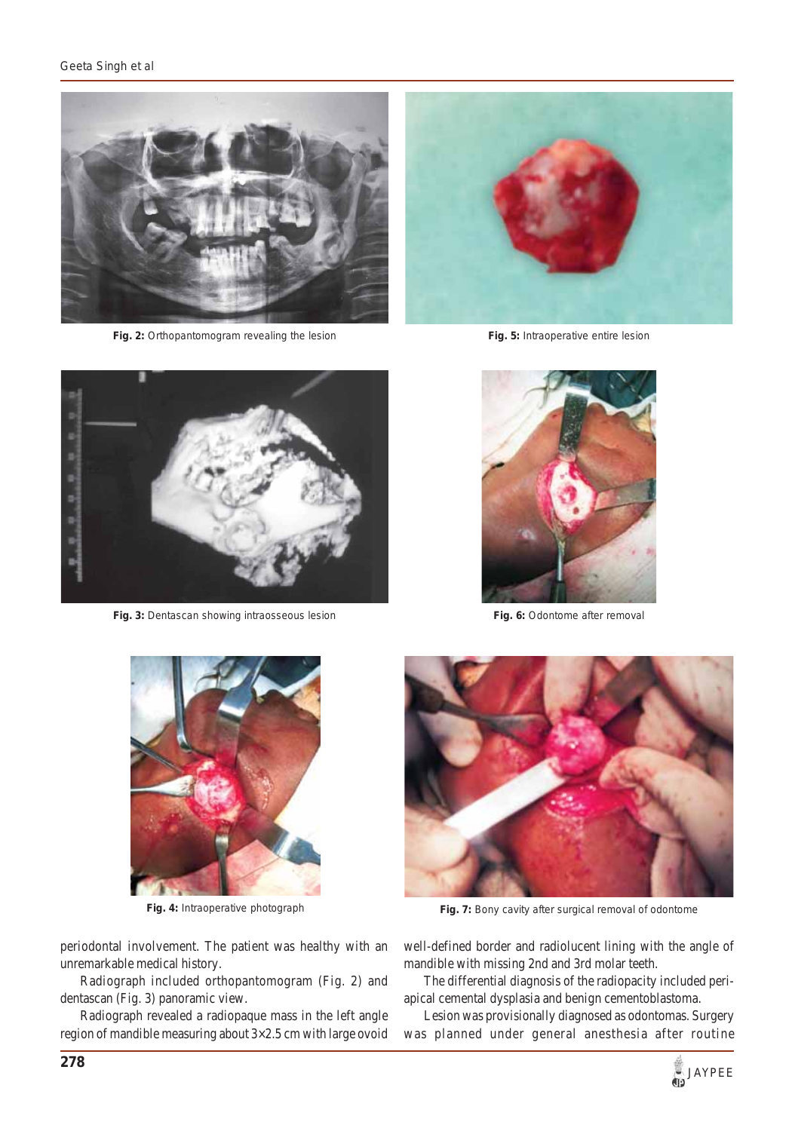#### *Geeta Singh et al*



**Fig. 2:** Orthopantomogram revealing the lesion **Fig. 5:** Intraoperative entire lesion





**Fig. 3:** Dentascan showing intraosseous lesion **Fig. 6:** Odontome after removal





periodontal involvement. The patient was healthy with an unremarkable medical history.

Radiograph included orthopantomogram (Fig. 2) and dentascan (Fig. 3) panoramic view.

Radiograph revealed a radiopaque mass in the left angle region of mandible measuring about 3×2.5 cm with large ovoid



**Fig. 4:** Intraoperative photograph **Fig. 7:** Bony cavity after surgical removal of odontome

well-defined border and radiolucent lining with the angle of mandible with missing 2nd and 3rd molar teeth.

The differential diagnosis of the radiopacity included periapical cemental dysplasia and benign cementoblastoma.

Lesion was provisionally diagnosed as odontomas. Surgery was planned under general anesthesia after routine